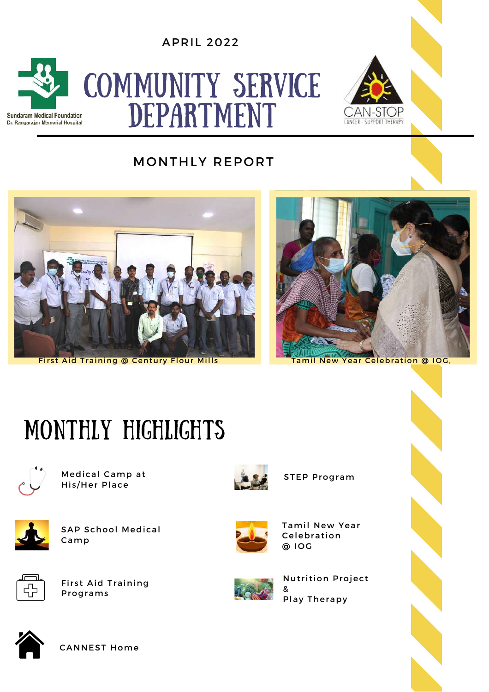APRIL 2022



# COMMUNITY SERVICE DEPARTMENT



#### MONTHLY REPORT



First Aid Training @ Century Flour Mills Tamil New Year Celebration @ IOG,



## MONTHLY HIGHLIGHTS



Medical Camp at His/Her Place



SAP School Medical Camp



First Aid Training Programs



STEP Program



Tamil New Year **Celebration** @ IOG



Nutrition Project Play Therapy



CANNEST Home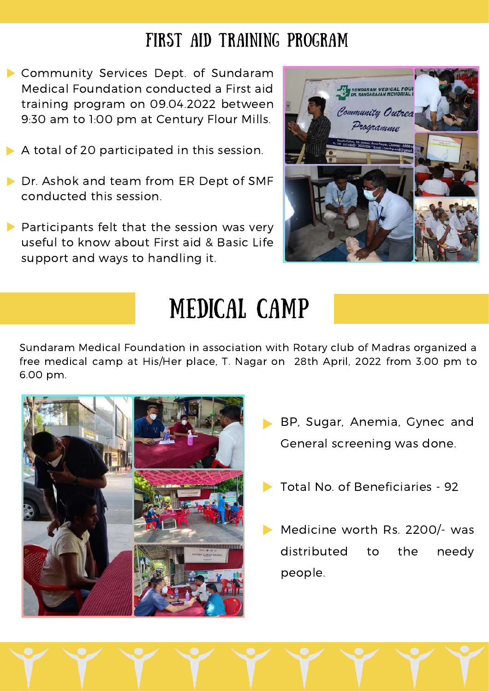#### FIRST AID TRAINING PROGRAM

- Community Services Dept. of Sundaram Medical Foundation conducted a First aid training program on 09.04.2022 between 9:30 am to 1:00 pm at Century Flour Mills.
- A total of 20 participated in this session.
- Dr. Ashok and team from ER Dept of SMF conducted this session.
- $\blacktriangleright$  Participants felt that the session was very useful to know about First aid & Basic Life support and ways to handling it.



### MEDICAL CAMP

Sundaram Medical Foundation in association with Rotary club of Madras organized a free medical camp at His/Her place, T. Nagar on 28th April, 2022 from 3.00 pm to 6.00 pm.



- BP, Sugar, Anemia, Gynec and General screening was done.
- Total No. of Beneficiaries 92
- Medicine worth Rs. 2200/- was distributed to the needy people.

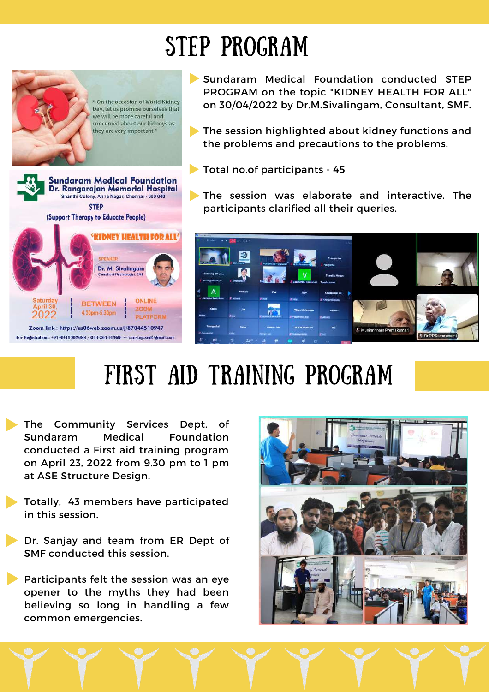## STEP PROGRAM



Sundaram Medical Foundation conducted STEP PROGRAM on the topic "KIDNEY HEALTH FOR ALL" on 30/04/2022 by Dr.M.Sivalingam, Consultant, SMF.

- **The session highlighted about kidney functions and** the problems and precautions to the problems.
- Total no.of participants 45
- The session was elaborate and interactive. The participants clarified all their queries.



# FIRST AID TRAINING PROGRAM

- The Community Services Dept. of Sundaram Medical Foundation conducted a First aid training program on April 23, 2022 from 9.30 pm to 1 pm at ASE Structure Design.
- Totally, 43 members have participated in this session.
- Dr. Sanjay and team from ER Dept of SMF conducted this session.

Participants felt the session was an eye opener to the myths they had been believing so long in handling a few common emergencies.

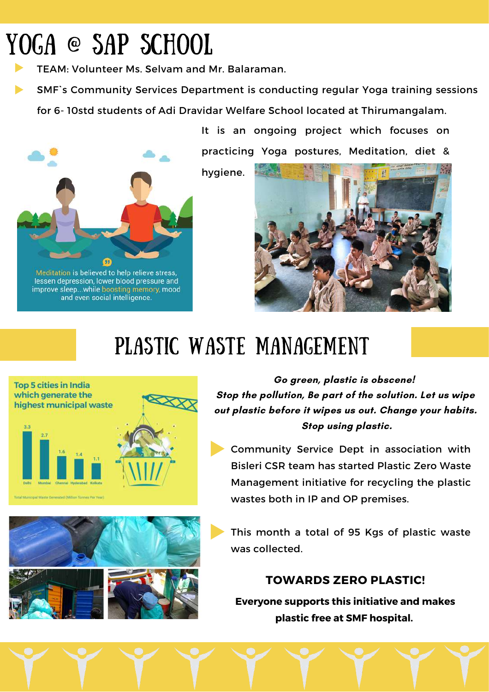# YOGA @ SAP SCHOOL

TEAM: Volunteer Ms. Selvam and Mr. Balaraman.

SMF`s Community Services Department is conducting regular Yoga training sessions

for 6- 10std students of Adi Dravidar Welfare School located at Thirumangalam.

Meditation is believed to help relieve stress, lessen depression, lower blood pressure and improve sleep...while boosting memory, mood and even social intelligence.

It is an ongoing project which focuses on practicing Yoga postures, Meditation, diet &

hygiene.



### PLASTIC WASTE MANAGEMENT



**Go green, plastic is obscene! Stop the pollution, Be part of the solution. Let us wipe out plastic before it wipes us out. Change your habits. Stop using plastic.**

Community Service Dept in association with Bisleri CSR team has started Plastic Zero Waste Management initiative for recycling the plastic wastes both in IP and OP premises.

This month a total of 95 Kgs of plastic waste was collected.

#### **TOWARDS ZERO PLASTIC!**

**Everyone supports this initiative and makes plastic free at SMF hospital.**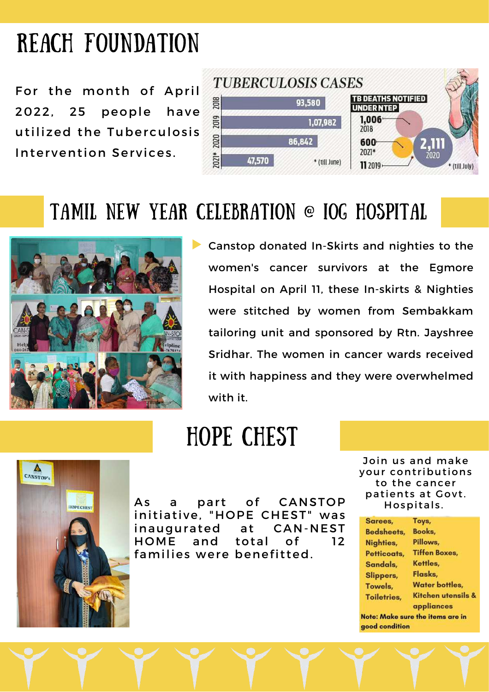## REACH FOUNDATION

For the month of April 2022, 25 people have utilized the Tuberculosis Intervention Services.



### TAMIL NEW YEAR CELEBRATION @ IOG HOSPITAL



Canstop donated In-Skirts and nighties to the women's cancer survivors at the Egmore Hospital on April 11, these In-skirts & Nighties were stitched by women from Sembakkam tailoring unit and sponsored by Rtn. Jayshree Sridhar. The women in cancer wards received it with happiness and they were overwhelmed with it.

### HOPE CHEST



As a part of CANSTOP initiative, "HOPE CHEST" was inaugurated at CAN-NEST HOME and total of 12 families were benefitted.

Join us and make your contributions to the cancer patients at Govt. Hospitals.

| Sarees,             | Toys,                            |
|---------------------|----------------------------------|
| <b>Bedsheets,</b>   | Books,                           |
| Nighties,           | Pillows,                         |
| Petticoats,         | <b>Tiffen Boxes,</b>             |
| Sandals,            | Kettles,                         |
| Slippers,           | Flasks,                          |
| Towels,             | <b>Water bottles,</b>            |
| <b>Toiletries</b> , | Kitchen utensils &<br>appliances |
| good condition      | Note: Make sure the items are in |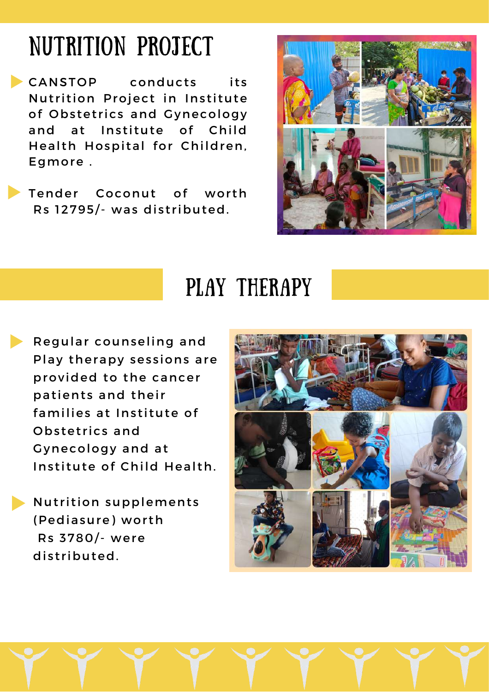### NUTRITION PROJECT

**CANSTOP** conducts its Nutrition Project in Institute of Obstetrics and Gynecology and at Institute of Child Health Hospital for Children, Egmore .

Tender Coconut of worth Rs 12795/- was distributed.



### PLAY THERAPY

Regular counseling and Play therapy sessions are provided to the cancer patients and their families at Institute of Obs tet rics and Gynecology and at Institute of Child Health.

Nutrition supplements (Pediasure) worth Rs 3780/- were distributed.



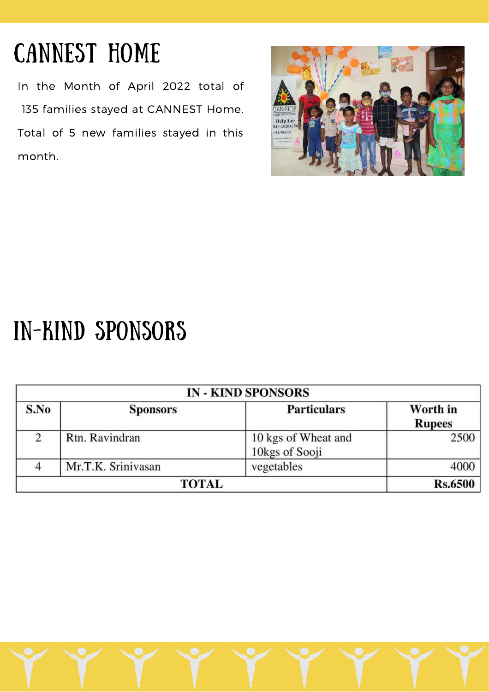# CANNEST HOME

In the Month of April 2022 total of 135 families stayed at CANNEST Home. Total of 5 new families stayed in this month.



### IN-KIND SPONSORS

| <b>IN - KIND SPONSORS</b> |                    |                                       |                           |  |  |
|---------------------------|--------------------|---------------------------------------|---------------------------|--|--|
| S.No                      | <b>Sponsors</b>    | <b>Particulars</b>                    | Worth in<br><b>Rupees</b> |  |  |
| 2                         | Rtn. Ravindran     | 10 kgs of Wheat and<br>10kgs of Sooji | 2500                      |  |  |
|                           | Mr.T.K. Srinivasan | vegetables                            |                           |  |  |
| TOTAL                     |                    |                                       | Rs.6500                   |  |  |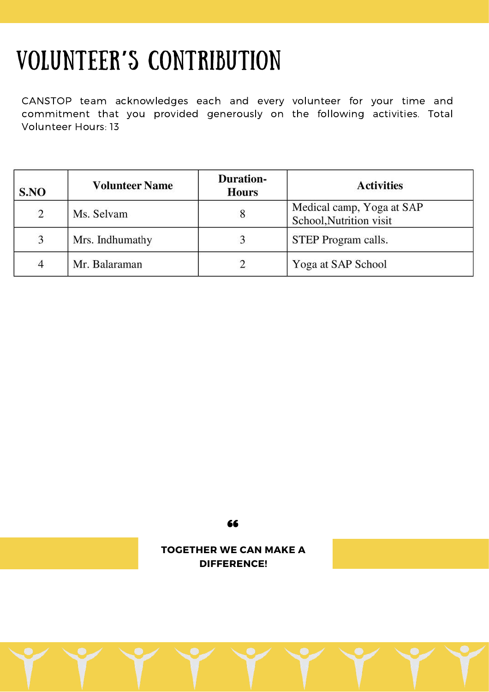## VOLUNTEER**'**S CONTRIBUTION

CANSTOP team acknowledges each and every volunteer for your time and commitment that you provided generously on the following activities. Total Volunteer Hours: 13

| S.NO           | <b>Volunteer Name</b> | <b>Duration-</b><br><b>Hours</b> | <b>Activities</b>                                    |
|----------------|-----------------------|----------------------------------|------------------------------------------------------|
| 2              | Ms. Selvam            |                                  | Medical camp, Yoga at SAP<br>School, Nutrition visit |
| 3              | Mrs. Indhumathy       |                                  | STEP Program calls.                                  |
| $\overline{4}$ | Mr. Balaraman         |                                  | Yoga at SAP School                                   |

66

**TOGETHER WE CAN MAKE A DIFFERENCE!**